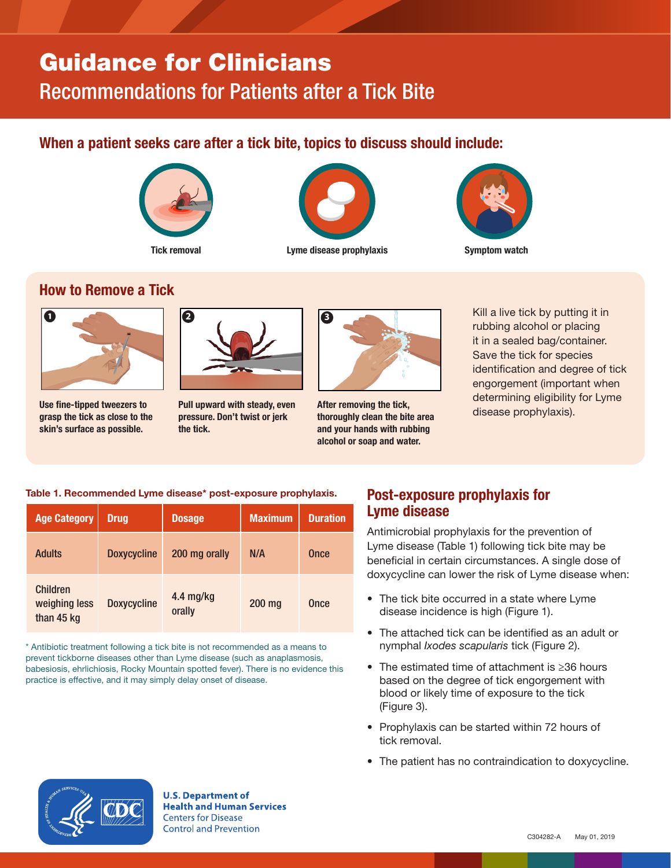# Guidance for Clinicians Recommendations for Patients after a Tick Bite

## When a patient seeks care after a tick bite, topics to discuss should include:





Tick removal **Example 20** Example disease prophylaxis **Symptom watch** 



#### How to Remove a Tick



Use fine-tipped tweezers to grasp the tick as close to the skin's surface as possible.



Pull upward with steady, even pressure. Don't twist or jerk the tick.



After removing the tick, thoroughly clean the bite area and your hands with rubbing alcohol or soap and water.

**<sup>3</sup>** Kill a live tick by putting it in rubbing alcohol or placing it in a sealed bag/container. Save the tick for species identification and degree of tick engorgement (important when determining eligibility for Lyme disease prophylaxis).

#### Table 1. Recommended Lyme disease\* post-exposure prophylaxis.

| <b>Age Category</b>                            | <b>Drug</b>        | <b>Dosage</b>       | <b>Maximum</b> | <b>Duration</b> |
|------------------------------------------------|--------------------|---------------------|----------------|-----------------|
| Adults                                         | <b>Doxycycline</b> | 200 mg orally       | N/A            | Once            |
| <b>Children</b><br>weighing less<br>than 45 kg | <b>Doxycycline</b> | 4.4 mg/kg<br>orally | 200 mg         | <b>Once</b>     |

\* Antibiotic treatment following a tick bite is not recommended as a means to prevent tickborne diseases other than Lyme disease (such as anaplasmosis, babesiosis, ehrlichiosis, Rocky Mountain spotted fever). There is no evidence this practice is effective, and it may simply delay onset of disease.

### Post-exposure prophylaxis for Lyme disease

Antimicrobial prophylaxis for the prevention of Lyme disease (Table 1) following tick bite may be beneficial in certain circumstances. A single dose of doxycycline can lower the risk of Lyme disease when:

- The tick bite occurred in a state where Lyme disease incidence is high (Figure 1).
- The attached tick can be identified as an adult or nymphal *Ixodes scapularis* tick (Figure 2).
- The estimated time of attachment is ≥36 hours based on the degree of tick engorgement with blood or likely time of exposure to the tick (Figure 3).
- Prophylaxis can be started within 72 hours of tick removal.
- The patient has no contraindication to doxycycline.



**U.S. Department of Health and Human Services Centers for Disease Control and Prevention**